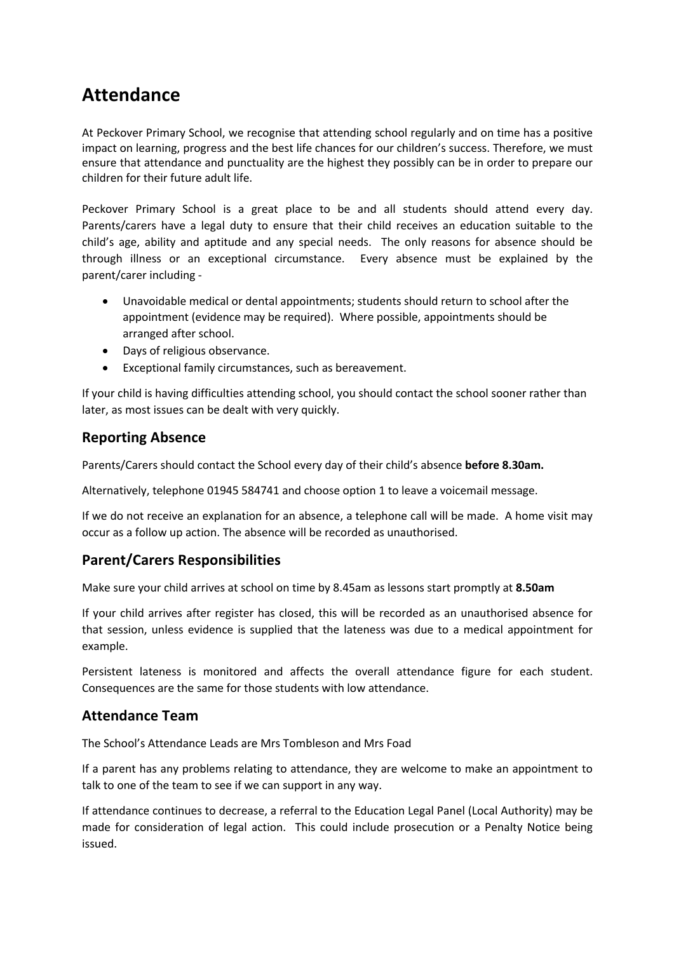## **Attendance**

At Peckover Primary School, we recognise that attending school regularly and on time has a positive impact on learning, progress and the best life chances for our children's success. Therefore, we must ensure that attendance and punctuality are the highest they possibly can be in order to prepare our children for their future adult life.

Peckover Primary School is a great place to be and all students should attend every day. Parents/carers have a legal duty to ensure that their child receives an education suitable to the child's age, ability and aptitude and any special needs. The only reasons for absence should be through illness or an exceptional circumstance. Every absence must be explained by the parent/carer including -

- Unavoidable medical or dental appointments; students should return to school after the appointment (evidence may be required). Where possible, appointments should be arranged after school.
- Days of religious observance.
- Exceptional family circumstances, such as bereavement.

If your child is having difficulties attending school, you should contact the school sooner rather than later, as most issues can be dealt with very quickly.

## **Reporting Absence**

Parents/Carers should contact the School every day of their child's absence **before 8.30am.** 

Alternatively, telephone 01945 584741 and choose option 1 to leave a voicemail message.

If we do not receive an explanation for an absence, a telephone call will be made. A home visit may occur as a follow up action. The absence will be recorded as unauthorised.

## **Parent/Carers Responsibilities**

Make sure your child arrives at school on time by 8.45am as lessons start promptly at **8.50am**

If your child arrives after register has closed, this will be recorded as an unauthorised absence for that session, unless evidence is supplied that the lateness was due to a medical appointment for example.

Persistent lateness is monitored and affects the overall attendance figure for each student. Consequences are the same for those students with low attendance.

## **Attendance Team**

The School's Attendance Leads are Mrs Tombleson and Mrs Foad

If a parent has any problems relating to attendance, they are welcome to make an appointment to talk to one of the team to see if we can support in any way.

If attendance continues to decrease, a referral to the Education Legal Panel (Local Authority) may be made for consideration of legal action. This could include prosecution or a Penalty Notice being issued.